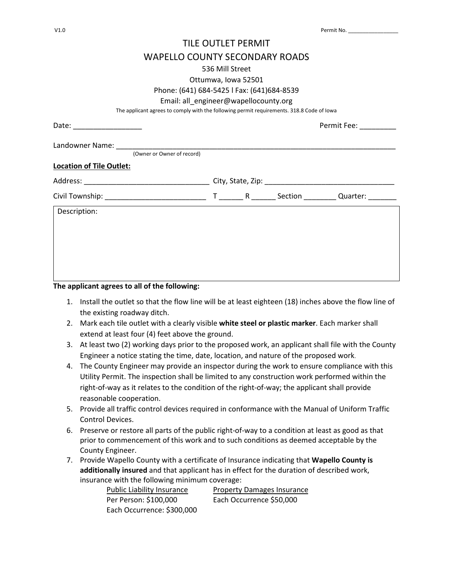## TILE OUTLET PERMIT WAPELLO COUNTY SECONDARY ROADS 536 Mill Street Ottumwa, Iowa 52501 Phone: (641) 684-5425 l Fax: (641)684-8539 Email: all\_engineer@wapellocounty.org The applicant agrees to comply with the following permit requirements. 318.8 Code of Iowa Date: \_\_\_\_\_\_\_\_\_\_\_\_\_\_\_\_\_ Permit Fee: \_\_\_\_\_\_\_\_\_ Landowner Name: (Owner or Owner of record) **Location of Tile Outlet:**  Address: \_\_\_\_\_\_\_\_\_\_\_\_\_\_\_\_\_\_\_\_\_\_\_\_\_\_\_\_\_\_\_ City, State, Zip: \_\_\_\_\_\_\_\_\_\_\_\_\_\_\_\_\_\_\_\_\_\_\_\_\_\_\_\_\_\_\_\_ Civil Township: \_\_\_\_\_\_\_\_\_\_\_\_\_\_\_\_\_\_\_\_\_\_\_\_\_ T \_\_\_\_\_\_ R \_\_\_\_\_\_ Section \_\_\_\_\_\_\_\_ Quarter: \_\_\_\_\_\_\_ Description:

**The applicant agrees to all of the following:** 

- 1. Install the outlet so that the flow line will be at least eighteen (18) inches above the flow line of the existing roadway ditch.
- 2. Mark each tile outlet with a clearly visible **white steel or plastic marker**. Each marker shall extend at least four (4) feet above the ground.
- 3. At least two (2) working days prior to the proposed work, an applicant shall file with the County Engineer a notice stating the time, date, location, and nature of the proposed work.
- 4. The County Engineer may provide an inspector during the work to ensure compliance with this Utility Permit. The inspection shall be limited to any construction work performed within the right-of-way as it relates to the condition of the right-of-way; the applicant shall provide reasonable cooperation.
- 5. Provide all traffic control devices required in conformance with the Manual of Uniform Traffic Control Devices.
- 6. Preserve or restore all parts of the public right-of-way to a condition at least as good as that prior to commencement of this work and to such conditions as deemed acceptable by the County Engineer.
- 7. Provide Wapello County with a certificate of Insurance indicating that **Wapello County is additionally insured** and that applicant has in effect for the duration of described work, insurance with the following minimum coverage:

Each Occurrence: \$300,000

Public Liability Insurance Property Damages Insurance Per Person: \$100,000 Each Occurrence \$50,000